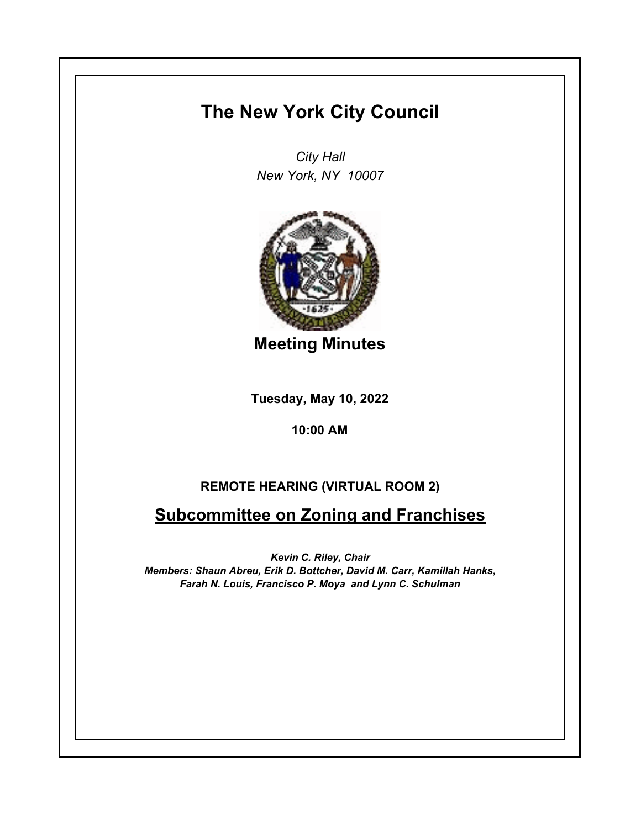## **The New York City Council**

*City Hall New York, NY 10007*



**Meeting Minutes**

**Tuesday, May 10, 2022**

**10:00 AM**

## **REMOTE HEARING (VIRTUAL ROOM 2)**

## **Subcommittee on Zoning and Franchises**

*Kevin C. Riley, Chair Members: Shaun Abreu, Erik D. Bottcher, David M. Carr, Kamillah Hanks, Farah N. Louis, Francisco P. Moya and Lynn C. Schulman*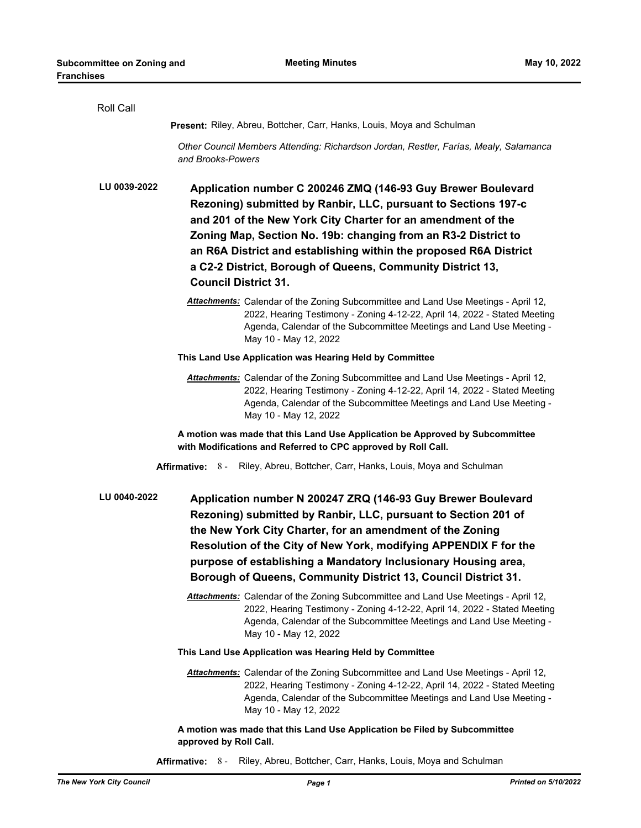| Roll Call                                                                                                                                                                                                                                                                                                                                                                                                                                          |  |
|----------------------------------------------------------------------------------------------------------------------------------------------------------------------------------------------------------------------------------------------------------------------------------------------------------------------------------------------------------------------------------------------------------------------------------------------------|--|
| Present: Riley, Abreu, Bottcher, Carr, Hanks, Louis, Moya and Schulman                                                                                                                                                                                                                                                                                                                                                                             |  |
| Other Council Members Attending: Richardson Jordan, Restler, Farías, Mealy, Salamanca<br>and Brooks-Powers                                                                                                                                                                                                                                                                                                                                         |  |
| LU 0039-2022<br>Application number C 200246 ZMQ (146-93 Guy Brewer Boulevard<br>Rezoning) submitted by Ranbir, LLC, pursuant to Sections 197-c<br>and 201 of the New York City Charter for an amendment of the<br>Zoning Map, Section No. 19b: changing from an R3-2 District to<br>an R6A District and establishing within the proposed R6A District<br>a C2-2 District, Borough of Queens, Community District 13,<br><b>Council District 31.</b> |  |
| Attachments: Calendar of the Zoning Subcommittee and Land Use Meetings - April 12,<br>2022, Hearing Testimony - Zoning 4-12-22, April 14, 2022 - Stated Meeting<br>Agenda, Calendar of the Subcommittee Meetings and Land Use Meeting -<br>May 10 - May 12, 2022                                                                                                                                                                                   |  |
| This Land Use Application was Hearing Held by Committee                                                                                                                                                                                                                                                                                                                                                                                            |  |
| Attachments: Calendar of the Zoning Subcommittee and Land Use Meetings - April 12,<br>2022, Hearing Testimony - Zoning 4-12-22, April 14, 2022 - Stated Meeting<br>Agenda, Calendar of the Subcommittee Meetings and Land Use Meeting -<br>May 10 - May 12, 2022                                                                                                                                                                                   |  |
| A motion was made that this Land Use Application be Approved by Subcommittee<br>with Modifications and Referred to CPC approved by Roll Call.                                                                                                                                                                                                                                                                                                      |  |
| <b>Affirmative: 8 -</b><br>Riley, Abreu, Bottcher, Carr, Hanks, Louis, Moya and Schulman                                                                                                                                                                                                                                                                                                                                                           |  |
| LU 0040-2022<br>Application number N 200247 ZRQ (146-93 Guy Brewer Boulevard<br>Rezoning) submitted by Ranbir, LLC, pursuant to Section 201 of<br>the New York City Charter, for an amendment of the Zoning<br>Resolution of the City of New York, modifying APPENDIX F for the<br>purpose of establishing a Mandatory Inclusionary Housing area,<br>Borough of Queens, Community District 13, Council District 31.                                |  |
| Attachments: Calendar of the Zoning Subcommittee and Land Use Meetings - April 12,<br>2022, Hearing Testimony - Zoning 4-12-22, April 14, 2022 - Stated Meeting<br>Agenda, Calendar of the Subcommittee Meetings and Land Use Meeting -<br>May 10 - May 12, 2022                                                                                                                                                                                   |  |
| This Land Use Application was Hearing Held by Committee                                                                                                                                                                                                                                                                                                                                                                                            |  |
| Attachments: Calendar of the Zoning Subcommittee and Land Use Meetings - April 12,<br>2022, Hearing Testimony - Zoning 4-12-22, April 14, 2022 - Stated Meeting<br>Agenda, Calendar of the Subcommittee Meetings and Land Use Meeting -<br>May 10 - May 12, 2022                                                                                                                                                                                   |  |
| A motion was made that this Land Use Application be Filed by Subcommittee<br>approved by Roll Call.                                                                                                                                                                                                                                                                                                                                                |  |
| Riley, Abreu, Bottcher, Carr, Hanks, Louis, Moya and Schulman<br>Affirmative: 8 -                                                                                                                                                                                                                                                                                                                                                                  |  |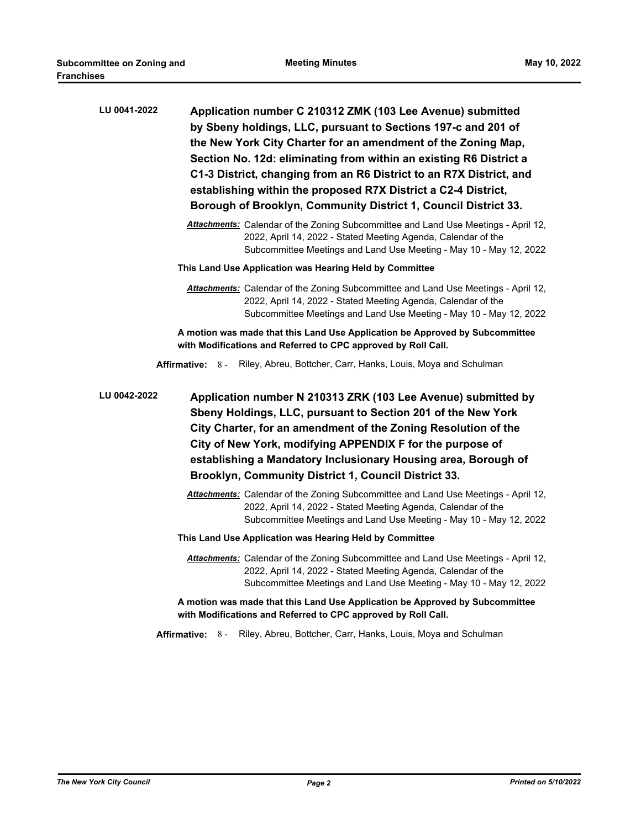| LU 0041-2022            | Application number C 210312 ZMK (103 Lee Avenue) submitted<br>by Sbeny holdings, LLC, pursuant to Sections 197-c and 201 of<br>the New York City Charter for an amendment of the Zoning Map,<br>Section No. 12d: eliminating from within an existing R6 District a<br>C1-3 District, changing from an R6 District to an R7X District, and<br>establishing within the proposed R7X District a C2-4 District,<br>Borough of Brooklyn, Community District 1, Council District 33. |
|-------------------------|--------------------------------------------------------------------------------------------------------------------------------------------------------------------------------------------------------------------------------------------------------------------------------------------------------------------------------------------------------------------------------------------------------------------------------------------------------------------------------|
|                         | Attachments: Calendar of the Zoning Subcommittee and Land Use Meetings - April 12,<br>2022, April 14, 2022 - Stated Meeting Agenda, Calendar of the<br>Subcommittee Meetings and Land Use Meeting - May 10 - May 12, 2022                                                                                                                                                                                                                                                      |
|                         | This Land Use Application was Hearing Held by Committee                                                                                                                                                                                                                                                                                                                                                                                                                        |
|                         | Attachments: Calendar of the Zoning Subcommittee and Land Use Meetings - April 12,<br>2022, April 14, 2022 - Stated Meeting Agenda, Calendar of the<br>Subcommittee Meetings and Land Use Meeting - May 10 - May 12, 2022                                                                                                                                                                                                                                                      |
|                         | A motion was made that this Land Use Application be Approved by Subcommittee<br>with Modifications and Referred to CPC approved by Roll Call.                                                                                                                                                                                                                                                                                                                                  |
| Affirmative: 8 -        | Riley, Abreu, Bottcher, Carr, Hanks, Louis, Moya and Schulman                                                                                                                                                                                                                                                                                                                                                                                                                  |
| LU 0042-2022            | Application number N 210313 ZRK (103 Lee Avenue) submitted by<br>Sbeny Holdings, LLC, pursuant to Section 201 of the New York<br>City Charter, for an amendment of the Zoning Resolution of the<br>City of New York, modifying APPENDIX F for the purpose of<br>establishing a Mandatory Inclusionary Housing area, Borough of<br>Brooklyn, Community District 1, Council District 33.                                                                                         |
|                         | Attachments: Calendar of the Zoning Subcommittee and Land Use Meetings - April 12,<br>2022, April 14, 2022 - Stated Meeting Agenda, Calendar of the<br>Subcommittee Meetings and Land Use Meeting - May 10 - May 12, 2022                                                                                                                                                                                                                                                      |
|                         | This Land Use Application was Hearing Held by Committee                                                                                                                                                                                                                                                                                                                                                                                                                        |
|                         | Attachments: Calendar of the Zoning Subcommittee and Land Use Meetings - April 12,<br>2022, April 14, 2022 - Stated Meeting Agenda, Calendar of the<br>Subcommittee Meetings and Land Use Meeting - May 10 - May 12, 2022                                                                                                                                                                                                                                                      |
|                         | A motion was made that this Land Use Application be Approved by Subcommittee<br>with Modifications and Referred to CPC approved by Roll Call.                                                                                                                                                                                                                                                                                                                                  |
| <b>Affirmative: 8 -</b> | Riley, Abreu, Bottcher, Carr, Hanks, Louis, Moya and Schulman                                                                                                                                                                                                                                                                                                                                                                                                                  |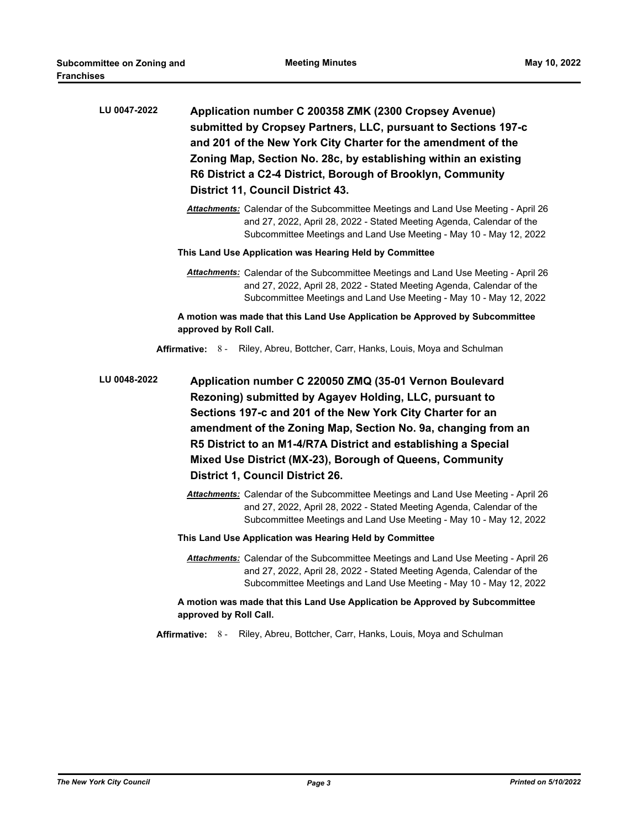| LU 0047-2022 | Application number C 200358 ZMK (2300 Cropsey Avenue)<br>submitted by Cropsey Partners, LLC, pursuant to Sections 197-c<br>and 201 of the New York City Charter for the amendment of the<br>Zoning Map, Section No. 28c, by establishing within an existing<br>R6 District a C2-4 District, Borough of Brooklyn, Community<br><b>District 11, Council District 43.</b>                                                     |
|--------------|----------------------------------------------------------------------------------------------------------------------------------------------------------------------------------------------------------------------------------------------------------------------------------------------------------------------------------------------------------------------------------------------------------------------------|
|              | Attachments: Calendar of the Subcommittee Meetings and Land Use Meeting - April 26<br>and 27, 2022, April 28, 2022 - Stated Meeting Agenda, Calendar of the<br>Subcommittee Meetings and Land Use Meeting - May 10 - May 12, 2022                                                                                                                                                                                          |
|              | This Land Use Application was Hearing Held by Committee                                                                                                                                                                                                                                                                                                                                                                    |
|              | <b>Attachments:</b> Calendar of the Subcommittee Meetings and Land Use Meeting - April 26<br>and 27, 2022, April 28, 2022 - Stated Meeting Agenda, Calendar of the<br>Subcommittee Meetings and Land Use Meeting - May 10 - May 12, 2022                                                                                                                                                                                   |
|              | A motion was made that this Land Use Application be Approved by Subcommittee<br>approved by Roll Call.                                                                                                                                                                                                                                                                                                                     |
|              | Affirmative: 8 - Riley, Abreu, Bottcher, Carr, Hanks, Louis, Moya and Schulman                                                                                                                                                                                                                                                                                                                                             |
| LU 0048-2022 | Application number C 220050 ZMQ (35-01 Vernon Boulevard<br>Rezoning) submitted by Agayev Holding, LLC, pursuant to<br>Sections 197-c and 201 of the New York City Charter for an<br>amendment of the Zoning Map, Section No. 9a, changing from an<br>R5 District to an M1-4/R7A District and establishing a Special<br>Mixed Use District (MX-23), Borough of Queens, Community<br><b>District 1, Council District 26.</b> |
|              | Attachments: Calendar of the Subcommittee Meetings and Land Use Meeting - April 26<br>and 27, 2022, April 28, 2022 - Stated Meeting Agenda, Calendar of the<br>Subcommittee Meetings and Land Use Meeting - May 10 - May 12, 2022                                                                                                                                                                                          |
|              | This Land Use Application was Hearing Held by Committee                                                                                                                                                                                                                                                                                                                                                                    |
|              | Attachments: Calendar of the Subcommittee Meetings and Land Use Meeting - April 26<br>and 27, 2022, April 28, 2022 - Stated Meeting Agenda, Calendar of the<br>Subcommittee Meetings and Land Use Meeting - May 10 - May 12, 2022                                                                                                                                                                                          |
|              | A motion was made that this Land Use Application be Approved by Subcommittee<br>approved by Roll Call.                                                                                                                                                                                                                                                                                                                     |
|              | Affirmative: 8-<br>Riley, Abreu, Bottcher, Carr, Hanks, Louis, Moya and Schulman                                                                                                                                                                                                                                                                                                                                           |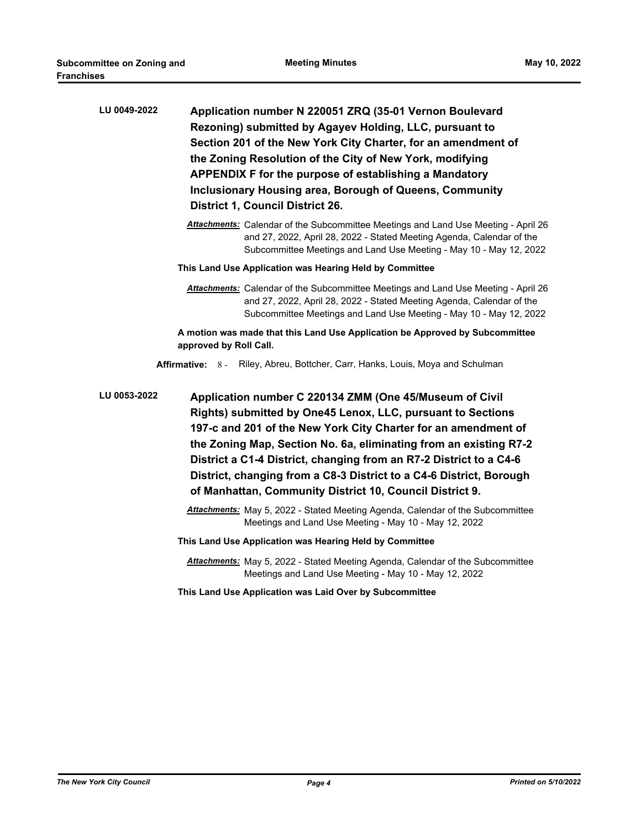| LU 0049-2022 | Application number N 220051 ZRQ (35-01 Vernon Boulevard<br>Rezoning) submitted by Agayev Holding, LLC, pursuant to<br>Section 201 of the New York City Charter, for an amendment of<br>the Zoning Resolution of the City of New York, modifying<br>APPENDIX F for the purpose of establishing a Mandatory<br>Inclusionary Housing area, Borough of Queens, Community<br><b>District 1, Council District 26.</b>                                                        |
|--------------|------------------------------------------------------------------------------------------------------------------------------------------------------------------------------------------------------------------------------------------------------------------------------------------------------------------------------------------------------------------------------------------------------------------------------------------------------------------------|
|              | Attachments: Calendar of the Subcommittee Meetings and Land Use Meeting - April 26<br>and 27, 2022, April 28, 2022 - Stated Meeting Agenda, Calendar of the<br>Subcommittee Meetings and Land Use Meeting - May 10 - May 12, 2022                                                                                                                                                                                                                                      |
|              | This Land Use Application was Hearing Held by Committee                                                                                                                                                                                                                                                                                                                                                                                                                |
|              | Attachments: Calendar of the Subcommittee Meetings and Land Use Meeting - April 26<br>and 27, 2022, April 28, 2022 - Stated Meeting Agenda, Calendar of the<br>Subcommittee Meetings and Land Use Meeting - May 10 - May 12, 2022                                                                                                                                                                                                                                      |
|              | A motion was made that this Land Use Application be Approved by Subcommittee<br>approved by Roll Call.                                                                                                                                                                                                                                                                                                                                                                 |
|              | Affirmative: 8 - Riley, Abreu, Bottcher, Carr, Hanks, Louis, Moya and Schulman                                                                                                                                                                                                                                                                                                                                                                                         |
| LU 0053-2022 | Application number C 220134 ZMM (One 45/Museum of Civil<br>Rights) submitted by One45 Lenox, LLC, pursuant to Sections<br>197-c and 201 of the New York City Charter for an amendment of<br>the Zoning Map, Section No. 6a, eliminating from an existing R7-2<br>District a C1-4 District, changing from an R7-2 District to a C4-6<br>District, changing from a C8-3 District to a C4-6 District, Borough<br>of Manhattan, Community District 10, Council District 9. |
|              | <b>Attachments:</b> May 5, 2022 - Stated Meeting Agenda, Calendar of the Subcommittee                                                                                                                                                                                                                                                                                                                                                                                  |
|              | Meetings and Land Use Meeting - May 10 - May 12, 2022                                                                                                                                                                                                                                                                                                                                                                                                                  |
|              | This Land Use Application was Hearing Held by Committee                                                                                                                                                                                                                                                                                                                                                                                                                |
|              | Attachments: May 5, 2022 - Stated Meeting Agenda, Calendar of the Subcommittee<br>Meetings and Land Use Meeting - May 10 - May 12, 2022                                                                                                                                                                                                                                                                                                                                |
|              | This Land Use Application was Laid Over by Subcommittee                                                                                                                                                                                                                                                                                                                                                                                                                |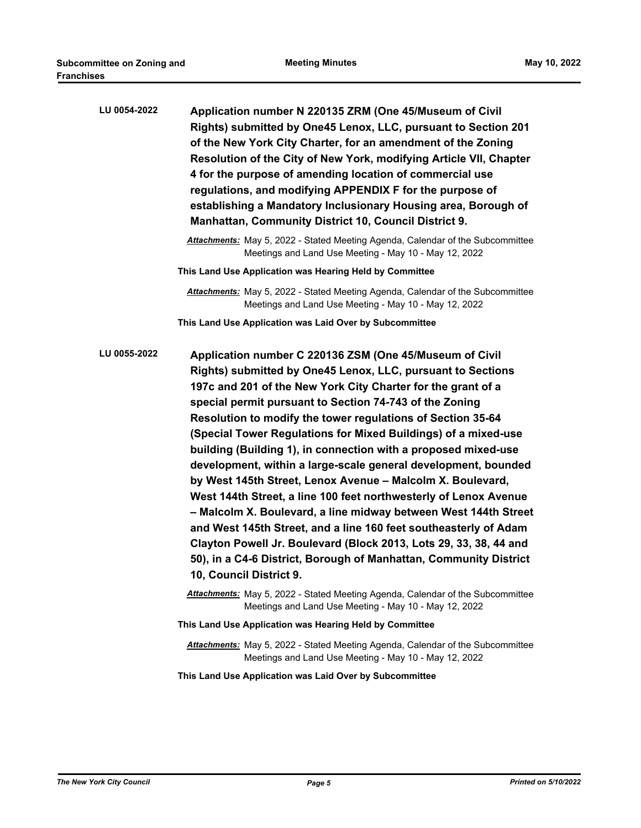| LU 0054-2022 | Application number N 220135 ZRM (One 45/Museum of Civil<br>Rights) submitted by One45 Lenox, LLC, pursuant to Section 201<br>of the New York City Charter, for an amendment of the Zoning<br>Resolution of the City of New York, modifying Article VII, Chapter<br>4 for the purpose of amending location of commercial use<br>regulations, and modifying APPENDIX F for the purpose of<br>establishing a Mandatory Inclusionary Housing area, Borough of<br><b>Manhattan, Community District 10, Council District 9.</b>                                                                                                                                                                                                                                                                                                                                                                                                                                            |
|--------------|----------------------------------------------------------------------------------------------------------------------------------------------------------------------------------------------------------------------------------------------------------------------------------------------------------------------------------------------------------------------------------------------------------------------------------------------------------------------------------------------------------------------------------------------------------------------------------------------------------------------------------------------------------------------------------------------------------------------------------------------------------------------------------------------------------------------------------------------------------------------------------------------------------------------------------------------------------------------|
|              | <b>Attachments:</b> May 5, 2022 - Stated Meeting Agenda, Calendar of the Subcommittee<br>Meetings and Land Use Meeting - May 10 - May 12, 2022                                                                                                                                                                                                                                                                                                                                                                                                                                                                                                                                                                                                                                                                                                                                                                                                                       |
|              | This Land Use Application was Hearing Held by Committee                                                                                                                                                                                                                                                                                                                                                                                                                                                                                                                                                                                                                                                                                                                                                                                                                                                                                                              |
|              | <b>Attachments:</b> May 5, 2022 - Stated Meeting Agenda, Calendar of the Subcommittee<br>Meetings and Land Use Meeting - May 10 - May 12, 2022                                                                                                                                                                                                                                                                                                                                                                                                                                                                                                                                                                                                                                                                                                                                                                                                                       |
|              | This Land Use Application was Laid Over by Subcommittee                                                                                                                                                                                                                                                                                                                                                                                                                                                                                                                                                                                                                                                                                                                                                                                                                                                                                                              |
| LU 0055-2022 | Application number C 220136 ZSM (One 45/Museum of Civil<br>Rights) submitted by One45 Lenox, LLC, pursuant to Sections<br>197c and 201 of the New York City Charter for the grant of a<br>special permit pursuant to Section 74-743 of the Zoning<br>Resolution to modify the tower regulations of Section 35-64<br>(Special Tower Regulations for Mixed Buildings) of a mixed-use<br>building (Building 1), in connection with a proposed mixed-use<br>development, within a large-scale general development, bounded<br>by West 145th Street, Lenox Avenue - Malcolm X. Boulevard,<br>West 144th Street, a line 100 feet northwesterly of Lenox Avenue<br>- Malcolm X. Boulevard, a line midway between West 144th Street<br>and West 145th Street, and a line 160 feet southeasterly of Adam<br>Clayton Powell Jr. Boulevard (Block 2013, Lots 29, 33, 38, 44 and<br>50), in a C4-6 District, Borough of Manhattan, Community District<br>10, Council District 9. |
|              | <b>Attachments:</b> May 5, 2022 - Stated Meeting Agenda, Calendar of the Subcommittee<br>Meetings and Land Use Meeting - May 10 - May 12, 2022                                                                                                                                                                                                                                                                                                                                                                                                                                                                                                                                                                                                                                                                                                                                                                                                                       |
|              | This Land Use Application was Hearing Held by Committee                                                                                                                                                                                                                                                                                                                                                                                                                                                                                                                                                                                                                                                                                                                                                                                                                                                                                                              |
|              | <b>Attachments:</b> May 5, 2022 - Stated Meeting Agenda, Calendar of the Subcommittee<br>Meetings and Land Use Meeting - May 10 - May 12, 2022                                                                                                                                                                                                                                                                                                                                                                                                                                                                                                                                                                                                                                                                                                                                                                                                                       |
|              | This Land Use Application was Laid Over by Subcommittee                                                                                                                                                                                                                                                                                                                                                                                                                                                                                                                                                                                                                                                                                                                                                                                                                                                                                                              |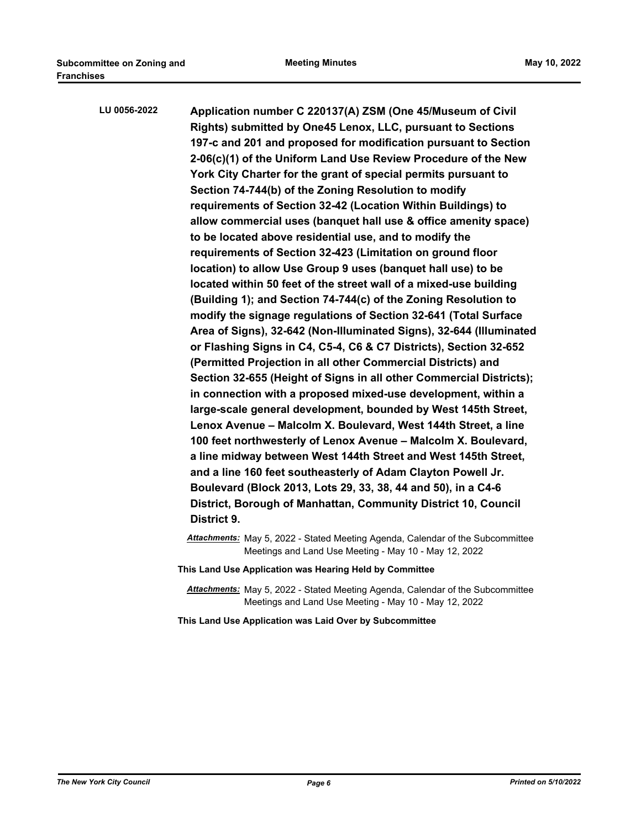| LU 0056-2022 | Application number C 220137(A) ZSM (One 45/Museum of Civil<br>Rights) submitted by One45 Lenox, LLC, pursuant to Sections<br>197-c and 201 and proposed for modification pursuant to Section<br>2-06(c)(1) of the Uniform Land Use Review Procedure of the New<br>York City Charter for the grant of special permits pursuant to<br>Section 74-744(b) of the Zoning Resolution to modify<br>requirements of Section 32-42 (Location Within Buildings) to<br>allow commercial uses (banquet hall use & office amenity space)<br>to be located above residential use, and to modify the<br>requirements of Section 32-423 (Limitation on ground floor<br>location) to allow Use Group 9 uses (banquet hall use) to be<br>located within 50 feet of the street wall of a mixed-use building<br>(Building 1); and Section 74-744(c) of the Zoning Resolution to<br>modify the signage regulations of Section 32-641 (Total Surface<br>Area of Signs), 32-642 (Non-Illuminated Signs), 32-644 (Illuminated<br>or Flashing Signs in C4, C5-4, C6 & C7 Districts), Section 32-652<br>(Permitted Projection in all other Commercial Districts) and<br>Section 32-655 (Height of Signs in all other Commercial Districts);<br>in connection with a proposed mixed-use development, within a<br>large-scale general development, bounded by West 145th Street,<br>Lenox Avenue - Malcolm X. Boulevard, West 144th Street, a line<br>100 feet northwesterly of Lenox Avenue - Malcolm X. Boulevard,<br>a line midway between West 144th Street and West 145th Street,<br>and a line 160 feet southeasterly of Adam Clayton Powell Jr.<br>Boulevard (Block 2013, Lots 29, 33, 38, 44 and 50), in a C4-6 |
|--------------|---------------------------------------------------------------------------------------------------------------------------------------------------------------------------------------------------------------------------------------------------------------------------------------------------------------------------------------------------------------------------------------------------------------------------------------------------------------------------------------------------------------------------------------------------------------------------------------------------------------------------------------------------------------------------------------------------------------------------------------------------------------------------------------------------------------------------------------------------------------------------------------------------------------------------------------------------------------------------------------------------------------------------------------------------------------------------------------------------------------------------------------------------------------------------------------------------------------------------------------------------------------------------------------------------------------------------------------------------------------------------------------------------------------------------------------------------------------------------------------------------------------------------------------------------------------------------------------------------------------------------------------------------------------------------------------------|
|              | District, Borough of Manhattan, Community District 10, Council<br>District 9.                                                                                                                                                                                                                                                                                                                                                                                                                                                                                                                                                                                                                                                                                                                                                                                                                                                                                                                                                                                                                                                                                                                                                                                                                                                                                                                                                                                                                                                                                                                                                                                                               |

*Attachments:* May 5, 2022 - Stated Meeting Agenda, Calendar of the Subcommittee Meetings and Land Use Meeting - May 10 - May 12, 2022

- **This Land Use Application was Hearing Held by Committee**
	- *Attachments:* May 5, 2022 Stated Meeting Agenda, Calendar of the Subcommittee Meetings and Land Use Meeting - May 10 - May 12, 2022

**This Land Use Application was Laid Over by Subcommittee**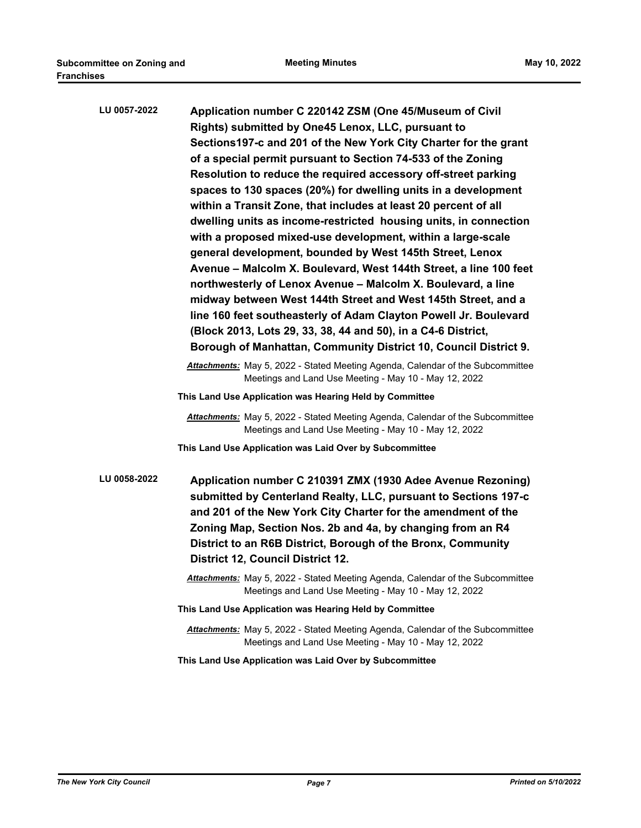| LU 0057-2022 | Application number C 220142 ZSM (One 45/Museum of Civil                                                                                        |
|--------------|------------------------------------------------------------------------------------------------------------------------------------------------|
|              | Rights) submitted by One45 Lenox, LLC, pursuant to                                                                                             |
|              | Sections197-c and 201 of the New York City Charter for the grant                                                                               |
|              | of a special permit pursuant to Section 74-533 of the Zoning                                                                                   |
|              | Resolution to reduce the required accessory off-street parking                                                                                 |
|              | spaces to 130 spaces (20%) for dwelling units in a development                                                                                 |
|              | within a Transit Zone, that includes at least 20 percent of all                                                                                |
|              | dwelling units as income-restricted housing units, in connection                                                                               |
|              | with a proposed mixed-use development, within a large-scale                                                                                    |
|              | general development, bounded by West 145th Street, Lenox                                                                                       |
|              | Avenue - Malcolm X. Boulevard, West 144th Street, a line 100 feet                                                                              |
|              | northwesterly of Lenox Avenue - Malcolm X. Boulevard, a line                                                                                   |
|              | midway between West 144th Street and West 145th Street, and a                                                                                  |
|              | line 160 feet southeasterly of Adam Clayton Powell Jr. Boulevard                                                                               |
|              | (Block 2013, Lots 29, 33, 38, 44 and 50), in a C4-6 District,                                                                                  |
|              | Borough of Manhattan, Community District 10, Council District 9.                                                                               |
|              | <b>Attachments:</b> May 5, 2022 - Stated Meeting Agenda, Calendar of the Subcommittee<br>Meetings and Land Use Meeting - May 10 - May 12, 2022 |
|              | This Land Use Application was Hearing Held by Committee                                                                                        |
|              | <b>Attachments:</b> May 5, 2022 - Stated Meeting Agenda, Calendar of the Subcommittee<br>Meetings and Land Use Meeting - May 10 - May 12, 2022 |
|              | This Land Use Application was Laid Over by Subcommittee                                                                                        |
| LU 0058-2022 | Application number C 210391 ZMX (1930 Adee Avenue Rezoning)                                                                                    |
|              | submitted by Centerland Realty, LLC, pursuant to Sections 197-c                                                                                |
|              | and 201 of the New York City Charter for the amendment of the                                                                                  |
|              | Zoning Map, Section Nos. 2b and 4a, by changing from an R4                                                                                     |
|              | District to an R6B District, Borough of the Bronx, Community                                                                                   |
|              | <b>District 12, Council District 12.</b>                                                                                                       |
|              | Attachments: May 5, 2022 - Stated Meeting Agenda, Calendar of the Subcommittee<br>Meetings and Land Use Meeting - May 10 - May 12, 2022        |
|              | This Land Use Application was Hearing Held by Committee                                                                                        |
|              | <b>Attachments:</b> May 5, 2022 - Stated Meeting Agenda, Calendar of the Subcommittee<br>Meetings and Land Use Meeting - May 10 - May 12, 2022 |

**This Land Use Application was Laid Over by Subcommittee**